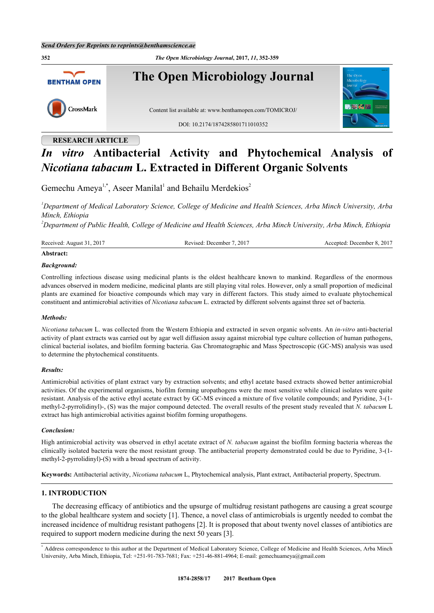**352** *The Open Microbiology Journal***, 2017,** *11***, 352-359 The Open Microbiology Journal BENTHAM OPEN** CrossMark Content list available at: [www.benthamopen.com/TOMICROJ/](http://www.benthamopen.com/TOMICROJ/) DOI: [10.2174/1874285801711010352](http://dx.doi.org/10.2174/1874285801711010352)

# **RESEARCH ARTICLE**

# *In vitro* **Antibacterial Activity and Phytochemical Analysis of** *Nicotiana tabacum* **L. Extracted in Different Organic Solvents**

Gemechu Ameya<sup>[1,](#page-0-0)[\\*](#page-0-1)</sup>, Aseer Manilal<sup>[1](#page-0-0)</sup> and Behailu Merdekios<sup>[2](#page-0-2)</sup>

<span id="page-0-0"></span>*<sup>1</sup>Department of Medical Laboratory Science, College of Medicine and Health Sciences, Arba Minch University, Arba Minch, Ethiopia*

<span id="page-0-2"></span>*<sup>2</sup>Department of Public Health, College of Medicine and Health Sciences, Arba Minch University, Arba Minch, Ethiopia*

Received: August 31, 2017 Revised: December 7, 2017 Accepted: December 8, 2017

# **Abstract:**

#### *Background:*

Controlling infectious disease using medicinal plants is the oldest healthcare known to mankind. Regardless of the enormous advances observed in modern medicine, medicinal plants are still playing vital roles. However, only a small proportion of medicinal plants are examined for bioactive compounds which may vary in different factors. This study aimed to evaluate phytochemical constituent and antimicrobial activities of *Nicotiana tabacum* L. extracted by different solvents against three set of bacteria.

#### *Methods:*

*Nicotiana tabacum* L. was collected from the Western Ethiopia and extracted in seven organic solvents. An *in-vitro* anti-bacterial activity of plant extracts was carried out by agar well diffusion assay against microbial type culture collection of human pathogens, clinical bacterial isolates, and biofilm forming bacteria. Gas Chromatographic and Mass Spectroscopic (GC-MS) analysis was used to determine the phytochemical constituents.

#### *Results:*

Antimicrobial activities of plant extract vary by extraction solvents; and ethyl acetate based extracts showed better antimicrobial activities. Of the experimental organisms, biofilm forming uropathogens were the most sensitive while clinical isolates were quite resistant. Analysis of the active ethyl acetate extract by GC-MS evinced a mixture of five volatile compounds; and Pyridine, 3-(1 methyl-2-pyrrolidinyl)-, (S) was the major compound detected. The overall results of the present study revealed that *N. tabacum* L extract has high antimicrobial activities against biofilm forming uropathogens.

#### *Conclusion:*

High antimicrobial activity was observed in ethyl acetate extract of *N. tabacum* against the biofilm forming bacteria whereas the clinically isolated bacteria were the most resistant group. The antibacterial property demonstrated could be due to Pyridine, 3-(1 methyl-2-pyrrolidinyl)-(S) with a broad spectrum of activity.

**Keywords:** Antibacterial activity, *Nicotiana tabacum* L, Phytochemical analysis, Plant extract, Antibacterial property, Spectrum.

#### **1. INTRODUCTION**

The decreasing efficacy of antibiotics and the upsurge of multidrug resistant pathogens are causing a great scourge to the global healthcare system and society [[1](#page-6-0)]. Thence, a novel class of antimicrobials is urgently needed to combat the increased incidence of multidrug resistant pathogens [\[2](#page-6-1)]. It is proposed that about twenty novel classes of antibiotics are required to support modern medicine during the next 50 years [[3\]](#page-6-2).

<span id="page-0-1"></span><sup>\*</sup> Address correspondence to this author at the Department of Medical Laboratory Science, College of Medicine and Health Sciences, Arba Minch University, Arba Minch, Ethiopia, Tel: +251-91-783-7681; Fax: +251-46-881-4964; E-mail: [gemechuameya@gmail.com](mailto:gemechuameya@gmail.com)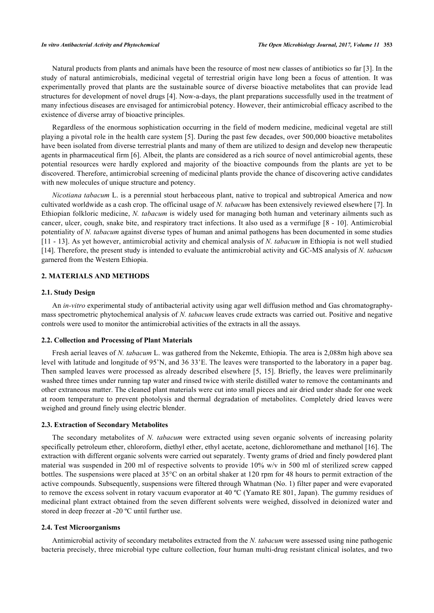Natural products from plants and animals have been the resource of most new classes of antibiotics so far [[3\]](#page-6-2). In the study of natural antimicrobials, medicinal vegetal of terrestrial origin have long been a focus of attention. It was experimentally proved that plants are the sustainable source of diverse bioactive metabolites that can provide lead structures for development of novel drugs [\[4](#page-6-3)]. Now-a-days, the plant preparations successfully used in the treatment of many infectious diseases are envisaged for antimicrobial potency. However, their antimicrobial efficacy ascribed to the existence of diverse array of bioactive principles.

Regardless of the enormous sophistication occurring in the field of modern medicine, medicinal vegetal are still playing a pivotal role in the health care system [[5](#page-6-4)]. During the past few decades, over 500,000 bioactive metabolites have been isolated from diverse terrestrial plants and many of them are utilized to design and develop new therapeutic agents in pharmaceutical firm [[6\]](#page-6-5). Albeit, the plants are considered as a rich source of novel antimicrobial agents, these potential resources were hardly explored and majority of the bioactive compounds from the plants are yet to be discovered. Therefore, antimicrobial screening of medicinal plants provide the chance of discovering active candidates with new molecules of unique structure and potency.

*Nicotiana tabacum* L. is a perennial stout herbaceous plant, native to tropical and subtropical America and now cultivated worldwide as a cash crop. The officinal usage of *N. tabacum* has been extensively reviewed elsewhere [[7\]](#page-6-6). In Ethiopian folkloric medicine, *N. tabacum* is widely used for managing both human and veterinary ailments such as cancer, ulcer, cough, snake bite, and respiratory tract infections. It also used as a vermifuge [[8](#page-7-0) - [10](#page-7-1)]. Antimicrobial potentiality of *N. tabacum* against diverse types of human and animal pathogens has been documented in some studies [\[11](#page-7-2) - [13\]](#page-7-3). As yet however, antimicrobial activity and chemical analysis of *N. tabacum* in Ethiopia is not well studied [\[14](#page-7-4)]. Therefore, the present study is intended to evaluate the antimicrobial activity and GC-MS analysis of *N. tabacum* garnered from the Western Ethiopia.

#### **2. MATERIALS AND METHODS**

#### **2.1. Study Design**

An *in-vitro* experimental study of antibacterial activity using agar well diffusion method and Gas chromatographymass spectrometric phytochemical analysis of *N. tabacum* leaves crude extracts was carried out. Positive and negative controls were used to monitor the antimicrobial activities of the extracts in all the assays.

#### **2.2. Collection and Processing of Plant Materials**

Fresh aerial leaves of *N. tabacum* L. was gathered from the Nekemte, Ethiopia. The area is 2,088m high above sea level with latitude and longitude of 95'N, and 36 33'E. The leaves were transported to the laboratory in a paper bag. Then sampled leaves were processed as already described elsewhere [[5,](#page-6-4) [15](#page-7-5)]. Briefly, the leaves were preliminarily washed three times under running tap water and rinsed twice with sterile distilled water to remove the contaminants and other extraneous matter. The cleaned plant materials were cut into small pieces and air dried under shade for one week at room temperature to prevent photolysis and thermal degradation of metabolites. Completely dried leaves were weighed and ground finely using electric blender.

#### **2.3. Extraction of Secondary Metabolites**

The secondary metabolites of *N. tabacum* were extracted using seven organic solvents of increasing polarity specifically petroleum ether, chloroform, diethyl ether, ethyl acetate, acetone, dichloromethane and methanol [\[16](#page-7-6)]. The extraction with different organic solvents were carried out separately. Twenty grams of dried and finely powdered plant material was suspended in 200 ml of respective solvents to provide 10% w/v in 500 ml of sterilized screw capped bottles. The suspensions were placed at 35°C on an orbital shaker at 120 rpm for 48 hours to permit extraction of the active compounds. Subsequently, suspensions were filtered through Whatman (No. 1) filter paper and were evaporated to remove the excess solvent in rotary vacuum evaporator at 40 ºC (Yamato RE 801, Japan). The gummy residues of medicinal plant extract obtained from the seven different solvents were weighed, dissolved in deionized water and stored in deep freezer at -20 ºC until further use.

#### **2.4. Test Microorganisms**

Antimicrobial activity of secondary metabolites extracted from the *N. tabacum* were assessed using nine pathogenic bacteria precisely, three microbial type culture collection, four human multi-drug resistant clinical isolates, and two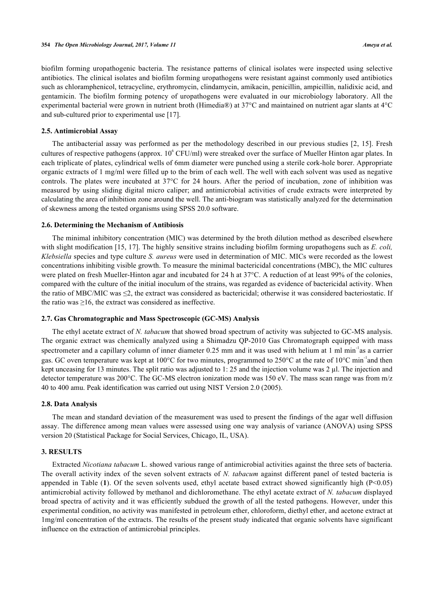biofilm forming uropathogenic bacteria. The resistance patterns of clinical isolates were inspected using selective antibiotics. The clinical isolates and biofilm forming uropathogens were resistant against commonly used antibiotics such as chloramphenicol, tetracycline, erythromycin, clindamycin, amikacin, penicillin, ampicillin, nalidixic acid, and gentamicin. The biofilm forming potency of uropathogens were evaluated in our microbiology laboratory. All the experimental bacterial were grown in nutrient broth (Himedia®) at 37°C and maintained on nutrient agar slants at 4°C and sub-cultured prior to experimental use [\[17](#page-7-7)].

#### **2.5. Antimicrobial Assay**

The antibacterial assay was performed as per the methodology described in our previous studies [[2,](#page-6-1) [15](#page-7-5)]. Fresh cultures of respective pathogens (approx.  $10^6$  CFU/ml) were streaked over the surface of Mueller Hinton agar plates. In each triplicate of plates, cylindrical wells of 6mm diameter were punched using a sterile cork-hole borer. Appropriate organic extracts of 1 mg/ml were filled up to the brim of each well. The well with each solvent was used as negative controls. The plates were incubated at 37°C for 24 hours. After the period of incubation, zone of inhibition was measured by using sliding digital micro caliper; and antimicrobial activities of crude extracts were interpreted by calculating the area of inhibition zone around the well. The anti-biogram was statistically analyzed for the determination of skewness among the tested organisms using SPSS 20.0 software.

#### **2.6. Determining the Mechanism of Antibiosis**

The minimal inhibitory concentration (MIC) was determined by the broth dilution method as described elsewhere with slight modification [[15](#page-7-5), [17](#page-7-7)]. The highly sensitive strains including biofilm forming uropathogens such as *E. coli*, *Klebsiella* species and type culture *S. aureus* were used in determination of MIC. MICs were recorded as the lowest concentrations inhibiting visible growth. To measure the minimal bactericidal concentrations (MBC), the MIC cultures were plated on fresh Mueller-Hinton agar and incubated for 24 h at 37°C. A reduction of at least 99% of the colonies, compared with the culture of the initial inoculum of the strains, was regarded as evidence of bactericidal activity. When the ratio of MBC/MIC was  $\leq$ 2, the extract was considered as bactericidal; otherwise it was considered bacteriostatic. If the ratio was  $\geq 16$ , the extract was considered as ineffective.

#### **2.7. Gas Chromatographic and Mass Spectroscopic (GC-MS) Analysis**

The ethyl acetate extract of *N. tabacum* that showed broad spectrum of activity was subjected to GC-MS analysis. The organic extract was chemically analyzed using a Shimadzu QP-2010 Gas Chromatograph equipped with mass spectrometer and a capillary column of inner diameter  $0.25$  mm and it was used with helium at 1 ml min<sup>-1</sup>as a carrier gas. GC oven temperature was kept at 100 $^{\circ}$ C for two minutes, programmed to 250 $^{\circ}$ C at the rate of 10 $^{\circ}$ C min<sup>-1</sup>and then kept unceasing for 13 minutes. The split ratio was adjusted to 1: 25 and the injection volume was 2 µl. The injection and detector temperature was 200°C. The GC-MS electron ionization mode was 150 eV. The mass scan range was from m/z 40 to 400 amu. Peak identification was carried out using NIST Version 2.0 (2005).

#### **2.8. Data Analysis**

The mean and standard deviation of the measurement was used to present the findings of the agar well diffusion assay. The difference among mean values were assessed using one way analysis of variance (ANOVA) using SPSS version 20 (Statistical Package for Social Services, Chicago, IL, USA).

#### **3. RESULTS**

Extracted *Nicotiana tabacum* L. showed various range of antimicrobial activities against the three sets of bacteria. The overall activity index of the seven solvent extracts of *N. tabacum* against different panel of tested bacteria is appended in Table  $(1)$  $(1)$  $(1)$ . Of the seven solvents used, ethyl acetate based extract showed significantly high  $(P<0.05)$ antimicrobial activity followed by methanol and dichloromethane. The ethyl acetate extract of *N. tabacum* displayed broad spectra of activity and it was efficiently subdued the growth of all the tested pathogens. However, under this experimental condition, no activity was manifested in petroleum ether, chloroform, diethyl ether, and acetone extract at 1mg/ml concentration of the extracts. The results of the present study indicated that organic solvents have significant influence on the extraction of antimicrobial principles.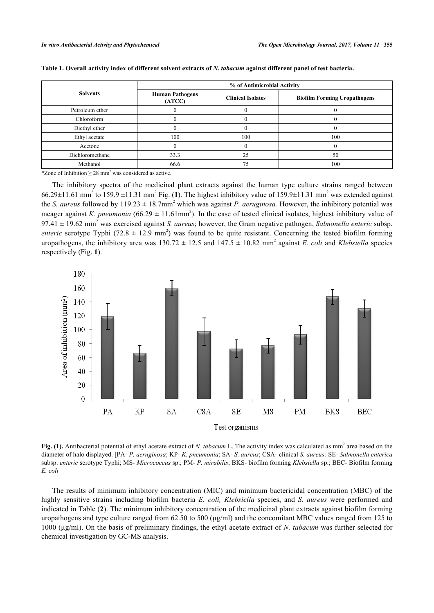|                 | % of Antimicrobial Activity      |                          |                                     |  |
|-----------------|----------------------------------|--------------------------|-------------------------------------|--|
| <b>Solvents</b> | <b>Human Pathogens</b><br>(ATCC) | <b>Clinical Isolates</b> | <b>Biofilm Forming Uropathogens</b> |  |
| Petroleum ether |                                  |                          |                                     |  |
| Chloroform      |                                  |                          |                                     |  |
| Diethyl ether   |                                  |                          |                                     |  |
| Ethyl acetate   | 100                              | 100                      | 100                                 |  |
| Acetone         |                                  |                          |                                     |  |
| Dichloromethane | 33.3                             | 25                       | 50                                  |  |
| Methanol        | 66.6                             |                          | 100                                 |  |

#### <span id="page-3-0"></span>**Table 1. Overall activity index of different solvent extracts of** *N. tabacum* **against different panel of test bacteria.**

\*Zone of Inhibition  $\geq 28$  mm<sup>2</sup> was considered as active.

The inhibitory spectra of the medicinal plant extracts against the human type culture strains ranged between  $66.29 \pm 11.61$  $66.29 \pm 11.61$  $66.29 \pm 11.61$  mm<sup>2</sup> to 159.9  $\pm 11.31$  mm<sup>2</sup> Fig. (1). The highest inhibitory value of 159.9 $\pm 11.31$  mm<sup>2</sup> was extended against the *S. aureus* followed by  $119.23 \pm 18.7$ mm<sup>2</sup> which was against *P. aeruginosa*. However, the inhibitory potential was meager against *K. pneumonia* (66.29  $\pm$  11.61mm<sup>2</sup>). In the case of tested clinical isolates, highest inhibitory value of  $97.41 \pm 19.62$  mm<sup>2</sup> was exercised against *S. aureus*; however, the Gram negative pathogen, *Salmonella enteric* subsp. *enteric* serotype Typhi (72.8  $\pm$  12.9 mm<sup>2</sup>) was found to be quite resistant. Concerning the tested biofilm forming uropathogens, the inhibitory area was  $130.72 \pm 12.5$  and  $147.5 \pm 10.82$  mm<sup>2</sup> against *E. coli* and *Klebsiella* species respectively (Fig. **[1](#page-3-1)**).

<span id="page-3-1"></span>

Fig. (1). Antibacterial potential of ethyl acetate extract of *N. tabacum* L. The activity index was calculated as mm<sup>2</sup> area based on the diameter of halo displayed. [PA- *P. aeruginosa*; KP- *K. pneumonia*; SA- *S. aureus*; CSA- clinical *S. aureus;* SE- *Salmonella enterica* subsp. *enteric* serotype Typhi; MS- *Micrococcus* sp.; PM- *P. mirabilis*; BKS- biofilm forming *Klebsiella* sp.; BEC- Biofilm forming *E. coli*

The results of minimum inhibitory concentration (MIC) and minimum bactericidal concentration (MBC) of the highly sensitive strains including biofilm bacteria *E. coli, Klebsiella* species, and *S. aureus* were performed and indicated in Table (**[2](#page-4-0)**). The minimum inhibitory concentration of the medicinal plant extracts against biofilm forming uropathogens and type culture ranged from  $62.50$  to  $500 \, (\mu g/ml)$  and the concomitant MBC values ranged from 125 to 1000 (µg/ml). On the basis of preliminary findings, the ethyl acetate extract of *N. tabacum* was further selected for chemical investigation by GC-MS analysis.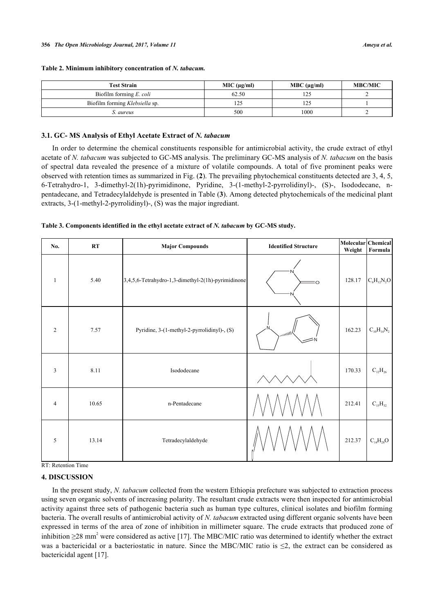| <b>Test Strain</b>             | MIC (µq/ml) | $MBC (\mu g/ml)$ | <b>MBC/MIC</b> |
|--------------------------------|-------------|------------------|----------------|
| Biofilm forming E. coli        | 62.50       |                  |                |
| Biofilm forming Klebsiella sp. | 125         | ن نے 1           |                |
| S. aureus                      | 500         | 1000             |                |

#### <span id="page-4-0"></span>**Table 2. Minimum inhibitory concentration of** *N. tabacum.*

#### **3.1. GC- MS Analysis of Ethyl Acetate Extract of** *N. tabacum*

In order to determine the chemical constituents responsible for antimicrobial activity, the crude extract of ethyl acetate of *N. tabacum* was subjected to GC-MS analysis. The preliminary GC-MS analysis of *N. tabacum* on the basis of spectral data revealed the presence of a mixture of volatile compounds. A total of five prominent peaks were observed with retention times as summarized in Fig. (**[2](#page-4-1)**). The prevailing phytochemical constituents detected are 3, 4, 5, 6-Tetrahydro-1, 3-dimethyl-2(1h)-pyrimidinone, Pyridine, 3-(1-methyl-2-pyrrolidinyl)-, (S)-, Isododecane, npentadecane, and Tetradecylaldehyde is presented in Table (**[3](#page-4-2)**). Among detected phytochemicals of the medicinal plant extracts, 3-(1-methyl-2-pyrrolidinyl)-, (S) was the major ingrediant.

<span id="page-4-2"></span>

|  |  | Table 3. Components identified in the ethyl acetate extract of N. tabacum by GC-MS study. |  |  |
|--|--|-------------------------------------------------------------------------------------------|--|--|
|  |  |                                                                                           |  |  |

| No.            | $\mathbf{R}\mathbf{T}$ | <b>Major Compounds</b>                             | <b>Identified Structure</b> | Molecular Chemical<br>Weight | Formula                 |
|----------------|------------------------|----------------------------------------------------|-----------------------------|------------------------------|-------------------------|
| $\mathbf{1}$   | 5.40                   | 3,4,5,6-Tetrahydro-1,3-dimethyl-2(1h)-pyrimidinone | $\circ$                     | 128.17                       | $C_6H_{12}N_2O$         |
| $\sqrt{2}$     | 7.57                   | Pyridine, 3-(1-methyl-2-pyrrolidinyl)-, (S)        | ' <sup>111111</sup> '       | 162.23                       | $C_{10}H_{14}N_2$       |
| 3              | 8.11                   | Isododecane                                        |                             | 170.33                       | $\mathrm{C_{12}H_{26}}$ |
| $\overline{4}$ | 10.65                  | n-Pentadecane                                      |                             | 212.41                       | $\mathrm{C_{15}H_{32}}$ |
| 5              | 13.14                  | Tetradecylaldehyde                                 |                             | 212.37                       | $\rm C_{14}H_{28}O$     |

RT: Retention Time

## **4. DISCUSSION**

<span id="page-4-1"></span>In the present study, *N. tabacum* collected from the western Ethiopia prefecture was subjected to extraction process using seven organic solvents of increasing polarity. The resultant crude extracts were then inspected for antimicrobial activity against three sets of pathogenic bacteria such as human type cultures, clinical isolates and biofilm forming bacteria. The overall results of antimicrobial activity of *N. tabacum* extracted using different organic solvents have been expressed in terms of the area of zone of inhibition in millimeter square. The crude extracts that produced zone of inhibition  $\geq$ 28 mm<sup>2</sup> were considered as active [[17\]](#page-7-7). The MBC/MIC ratio was determined to identify whether the extract was a bactericidal or a bacteriostatic in nature. Since the MBC/MIC ratio is  $\leq$ 2, the extract can be considered as bactericidal agent [\[17](#page-7-7)].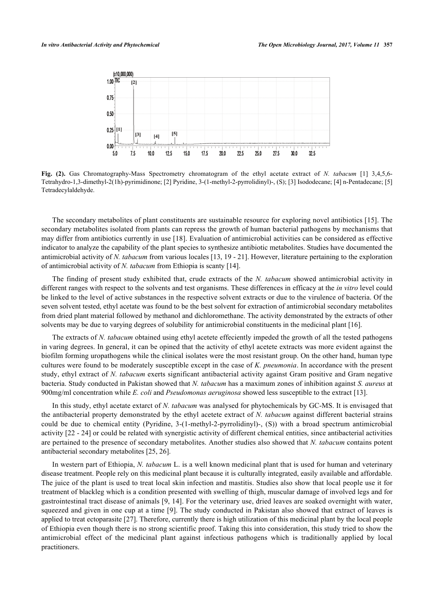

**Fig. (2).** Gas Chromatography-Mass Spectrometry chromatogram of the ethyl acetate extract of *N. tabacum* [1] 3,4,5,6- Tetrahydro-1,3-dimethyl-2(1h)-pyrimidinone; [2] Pyridine, 3-(1-methyl-2-pyrrolidinyl)-, (S); [3] Isododecane; [4] n-Pentadecane; [5] Tetradecylaldehyde.

The secondary metabolites of plant constituents are sustainable resource for exploring novel antibiotics [[15\]](#page-7-5). The secondary metabolites isolated from plants can repress the growth of human bacterial pathogens by mechanisms that may differ from antibiotics currently in use [[18](#page-7-8)]. Evaluation of antimicrobial activities can be considered as effective indicator to analyze the capability of the plant species to synthesize antibiotic metabolites. Studies have documented the antimicrobial activity of *N. tabacum* from various locales [\[13,](#page-7-3) [19](#page-7-9) - [21\]](#page-7-10). However, literature pertaining to the exploration of antimicrobial activity of *N. tabacum* from Ethiopia is scanty [\[14](#page-7-4)].

The finding of present study exhibited that, crude extracts of the *N. tabacum* showed antimicrobial activity in different ranges with respect to the solvents and test organisms. These differences in efficacy at the *in vitro* level could be linked to the level of active substances in the respective solvent extracts or due to the virulence of bacteria. Of the seven solvent tested, ethyl acetate was found to be the best solvent for extraction of antimicrobial secondary metabolites from dried plant material followed by methanol and dichloromethane. The activity demonstrated by the extracts of other solvents may be due to varying degrees of solubility for antimicrobial constituents in the medicinal plant [\[16](#page-7-6)].

The extracts of *N. tabacum* obtained using ethyl acetete effeciently impeded the growth of all the tested pathogens in varing degrees. In general, it can be opined that the activity of ethyl acetete extracts was more evident against the biofilm forming uropathogens while the clinical isolates were the most resistant group. On the other hand, human type cultures were found to be moderately susceptible except in the case of *K. pneumonia*. In accordance with the present study, ethyl extract of *N. tabacum* exerts significant antibacterial activity against Gram positive and Gram negative bacteria. Study conducted in Pakistan showed that *N. tabacum* has a maximum zones of inhibition against *S. aureus* at 900mg/ml concentration while *E. coli* and *Pseudomonas aeruginosa* showed less susceptible to the extract [[13\]](#page-7-3).

In this study, ethyl acetate extarct of *N. tabacum* was analysed for phytochemicals by GC-MS. It is envisaged that the antibacterial property demonstrated by the ethyl acetete extract of *N. tabacum* against different bacterial strains could be due to chemical entity (Pyridine, 3-(1-methyl-2-pyrrolidinyl)-, (S)) with a broad spectrum antimicrobial activity [[22](#page-7-11) - [24\]](#page-7-12) or could be related with synergistic activity of different chemical entities, since antibacterial activities are pertained to the presence of secondary metabolites. Another studies also showed that *N. tabacum* contains potent antibacterial secondary metabolites [[25,](#page-7-13) [26\]](#page-7-14).

In western part of Ethiopia, *N. tabacum* L. is a well known medicinal plant that is used for human and veterinary disease treatment. People rely on this medicinal plant because it is culturally integrated, easily available and affordable. The juice of the plant is used to treat local skin infection and mastitis. Studies also show that local people use it for treatment of blackleg which is a condition presented with swelling of thigh, muscular damage of involved legs and for gastrointestinal tract disease of animals [\[9,](#page-7-15) [14](#page-7-4)]. For the veterinary use, dried leaves are soaked overnight with water, squeezed and given in one cup at a time [[9\]](#page-7-15). The study conducted in Pakistan also showed that extract of leaves is applied to treat ectoparasite [\[27](#page-7-16)]. Therefore, currently there is high utilization of this medicinal plant by the local people of Ethiopia even though there is no strong scientific proof. Taking this into consideration, this study tried to show the antimicrobial effect of the medicinal plant against infectious pathogens which is traditionally applied by local practitioners.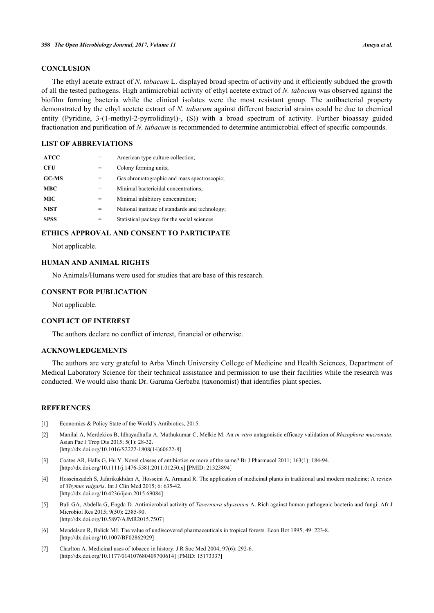#### **CONCLUSION**

The ethyl acetate extract of *N. tabacum* L. displayed broad spectra of activity and it efficiently subdued the growth of all the tested pathogens. High antimicrobial activity of ethyl acetete extract of *N. tabacum* was observed against the biofilm forming bacteria while the clinical isolates were the most resistant group. The antibacterial property demonstrated by the ethyl acetete extract of *N. tabacum* against different bacterial strains could be due to chemical entity (Pyridine, 3-(1-methyl-2-pyrrolidinyl)-, (S)) with a broad spectrum of activity. Further bioassay guided fractionation and purification of *N. tabacum* is recommended to determine antimicrobial effect of specific compounds.

#### **LIST OF ABBREVIATIONS**

| <b>ATCC</b>  |     | American type culture collection;               |
|--------------|-----|-------------------------------------------------|
| CFU          | =   | Colony forming units:                           |
| <b>GC-MS</b> | =   | Gas chromatographic and mass spectroscopic;     |
| <b>MBC</b>   | =   | Minimal bactericidal concentrations;            |
| <b>MIC</b>   | $=$ | Minimal inhibitory concentration;               |
| <b>NIST</b>  | =   | National institute of standards and technology; |
| <b>SPSS</b>  |     | Statistical package for the social sciences     |

#### **ETHICS APPROVAL AND CONSENT TO PARTICIPATE**

Not applicable.

#### **HUMAN AND ANIMAL RIGHTS**

No Animals/Humans were used for studies that are base of this research.

#### **CONSENT FOR PUBLICATION**

Not applicable.

#### **CONFLICT OF INTEREST**

The authors declare no conflict of interest, financial or otherwise.

### **ACKNOWLEDGEMENTS**

The authors are very grateful to Arba Minch University College of Medicine and Health Sciences, Department of Medical Laboratory Science for their technical assistance and permission to use their facilities while the research was conducted. We would also thank Dr. Garuma Gerbaba (taxonomist) that identifies plant species.

#### **REFERENCES**

- <span id="page-6-0"></span>[1] Economics & Policy State of the World's Antibiotics, 2015.
- <span id="page-6-1"></span>[2] Manilal A, Merdekios B, Idhayadhulla A, Muthukumar C, Melkie M. An *in vitro* antagonistic efficacy validation of *Rhizophora mucronata*. Asian Pac J Trop Dis 2015; 5(1): 28-32. [\[http://dx.doi.org/10.1016/S2222-1808\(14\)60622-8\]](http://dx.doi.org/10.1016/S2222-1808(14)60622-8)
- <span id="page-6-2"></span>[3] Coates AR, Halls G, Hu Y. Novel classes of antibiotics or more of the same? Br J Pharmacol 2011; 163(1): 184-94. [\[http://dx.doi.org/10.1111/j.1476-5381.2011.01250.x\]](http://dx.doi.org/10.1111/j.1476-5381.2011.01250.x) [PMID: [21323894](http://www.ncbi.nlm.nih.gov/pubmed/21323894)]
- <span id="page-6-3"></span>[4] Hosseinzadeh S, Jafarikukhdan A, Hosseini A, Armand R. The application of medicinal plants in traditional and modern medicine: A review of *Thymus vulgaris*. Int J Clin Med 2015; 6: 635-42. [\[http://dx.doi.org/10.4236/ijcm.2015.69084](http://dx.doi.org/10.4236/ijcm.2015.69084)]
- <span id="page-6-4"></span>[5] Buli GA, Abdella G, Engda D. Antimicrobial activity of *Taverniera abyssinica* A. Rich against human pathogenic bacteria and fungi. Afr J Microbiol Res 2015; 9(50): 2385-90. [\[http://dx.doi.org/10.5897/AJMR2015.7507](http://dx.doi.org/10.5897/AJMR2015.7507)]
- <span id="page-6-5"></span>[6] Mendelson R, Balick MJ. The value of undiscovered pharmaceuticals in tropical forests. Econ Bot 1995; 49: 223-8. [\[http://dx.doi.org/10.1007/BF02862929\]](http://dx.doi.org/10.1007/BF02862929)
- <span id="page-6-6"></span>[7] Charlton A. Medicinal uses of tobacco in history. J R Soc Med 2004; 97(6): 292-6. [\[http://dx.doi.org/10.1177/014107680409700614\]](http://dx.doi.org/10.1177/014107680409700614) [PMID: [15173337](http://www.ncbi.nlm.nih.gov/pubmed/15173337)]